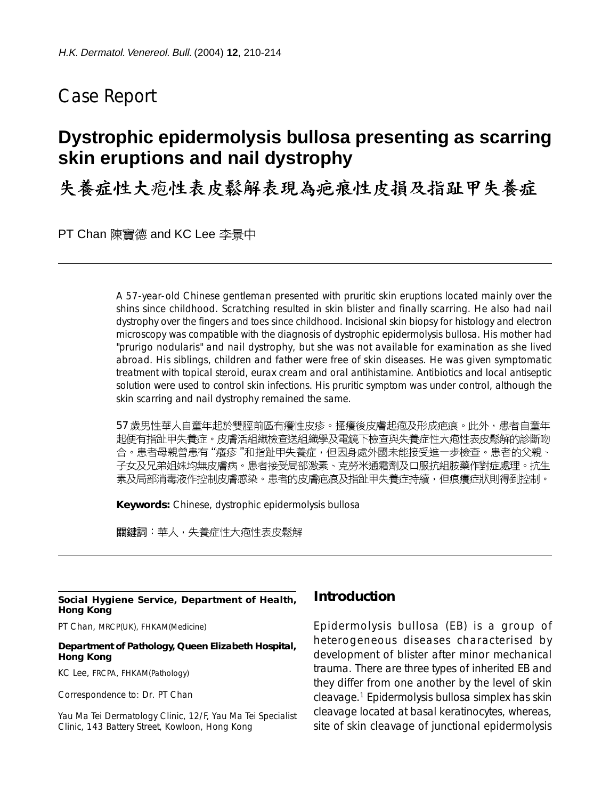## Case Report

# **Dystrophic epidermolysis bullosa presenting as scarring skin eruptions and nail dystrophy**

失養症性大疱性表皮鬆解表現為疤痕性皮損及指趾甲失養症

PT Chan 陳寶德 and KC Lee 李景中

A 57-year-old Chinese gentleman presented with pruritic skin eruptions located mainly over the shins since childhood. Scratching resulted in skin blister and finally scarring. He also had nail dystrophy over the fingers and toes since childhood. Incisional skin biopsy for histology and electron microscopy was compatible with the diagnosis of dystrophic epidermolysis bullosa. His mother had "prurigo nodularis" and nail dystrophy, but she was not available for examination as she lived abroad. His siblings, children and father were free of skin diseases. He was given symptomatic treatment with topical steroid, eurax cream and oral antihistamine. Antibiotics and local antiseptic solution were used to control skin infections. His pruritic symptom was under control, although the skin scarring and nail dystrophy remained the same.

57 歲男性華人自童年起於雙脛前區有癢性皮疹。搔癢後皮膚起疱及形成疤痕。此外,患者自童年 起便有指趾甲失養症。皮膚活組織檢查送組織學及電鏡下檢查與失養症性大疱性表皮鬆解的診斷吻 合。患者母親曾患有"癢疹"和指趾甲失養症,但因身處外國未能接受進一步檢查。患者的父親、 子女及兄弟姐妹均無皮膚病。患者接受局部激素、克勞米通霜劑及口服抗組胺藥作對症處理。抗生 素及局部消毒液作控制皮膚感染。患者的皮膚疤痕及指趾甲失養症持續,但痕癢症狀則得到控制。

**Keywords:** Chinese, dystrophic epidermolysis bullosa

關鍵詞:華人,失養症性大疱性表皮鬆解

#### **Social Hygiene Service, Department of Health, Hong Kong**

PT Chan, MRCP(UK), FHKAM(Medicine)

#### **Department of Pathology, Queen Elizabeth Hospital, Hong Kong**

KC Lee, FRCPA, FHKAM(Pathology)

Correspondence to: Dr. PT Chan

Yau Ma Tei Dermatology Clinic, 12/F, Yau Ma Tei Specialist Clinic, 143 Battery Street, Kowloon, Hong Kong

## **Introduction**

Epidermolysis bullosa (EB) is a group of heterogeneous diseases characterised by development of blister after minor mechanical trauma. There are three types of inherited EB and they differ from one another by the level of skin cleavage.1 Epidermolysis bullosa simplex has skin cleavage located at basal keratinocytes, whereas, site of skin cleavage of junctional epidermolysis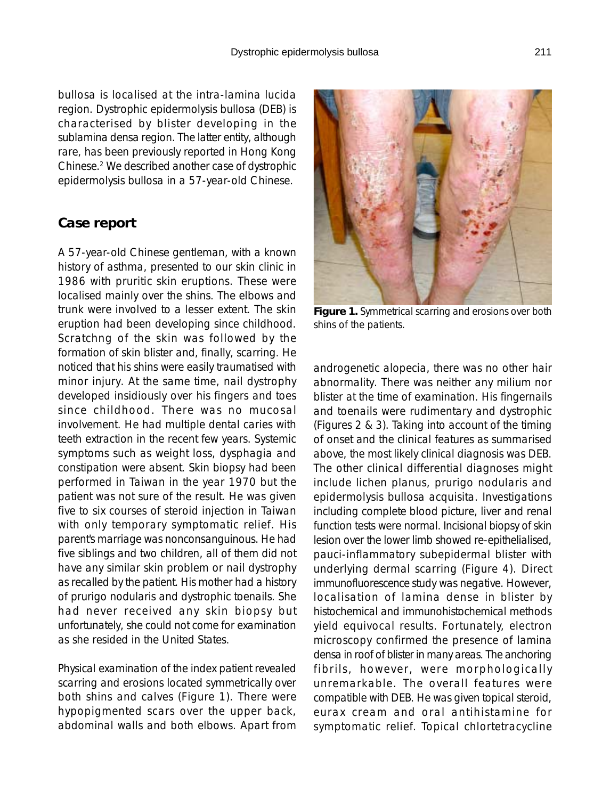bullosa is localised at the intra-lamina lucida region. Dystrophic epidermolysis bullosa (DEB) is characterised by blister developing in the sublamina densa region. The latter entity, although rare, has been previously reported in Hong Kong Chinese.2 We described another case of dystrophic epidermolysis bullosa in a 57-year-old Chinese.

#### **Case report**

A 57-year-old Chinese gentleman, with a known history of asthma, presented to our skin clinic in 1986 with pruritic skin eruptions. These were localised mainly over the shins. The elbows and trunk were involved to a lesser extent. The skin eruption had been developing since childhood. Scratchng of the skin was followed by the formation of skin blister and, finally, scarring. He noticed that his shins were easily traumatised with minor injury. At the same time, nail dystrophy developed insidiously over his fingers and toes since childhood. There was no mucosal involvement. He had multiple dental caries with teeth extraction in the recent few years. Systemic symptoms such as weight loss, dysphagia and constipation were absent. Skin biopsy had been performed in Taiwan in the year 1970 but the patient was not sure of the result. He was given five to six courses of steroid injection in Taiwan with only temporary symptomatic relief. His parent's marriage was nonconsanguinous. He had five siblings and two children, all of them did not have any similar skin problem or nail dystrophy as recalled by the patient. His mother had a history of prurigo nodularis and dystrophic toenails. She had never received any skin biopsy but unfortunately, she could not come for examination as she resided in the United States.

Physical examination of the index patient revealed scarring and erosions located symmetrically over both shins and calves (Figure 1). There were hypopigmented scars over the upper back, abdominal walls and both elbows. Apart from

**Figure 1.** Symmetrical scarring and erosions over both shins of the patients.

androgenetic alopecia, there was no other hair abnormality. There was neither any milium nor blister at the time of examination. His fingernails and toenails were rudimentary and dystrophic (Figures 2 & 3). Taking into account of the timing of onset and the clinical features as summarised above, the most likely clinical diagnosis was DEB. The other clinical differential diagnoses might include lichen planus, prurigo nodularis and epidermolysis bullosa acquisita. Investigations including complete blood picture, liver and renal function tests were normal. Incisional biopsy of skin lesion over the lower limb showed re-epithelialised, pauci-inflammatory subepidermal blister with underlying dermal scarring (Figure 4). Direct immunofluorescence study was negative. However, localisation of lamina dense in blister by histochemical and immunohistochemical methods yield equivocal results. Fortunately, electron microscopy confirmed the presence of lamina densa in roof of blister in many areas. The anchoring fibrils, however, were morphologically unremarkable. The overall features were compatible with DEB. He was given topical steroid, eurax cream and oral antihistamine for symptomatic relief. Topical chlortetracycline

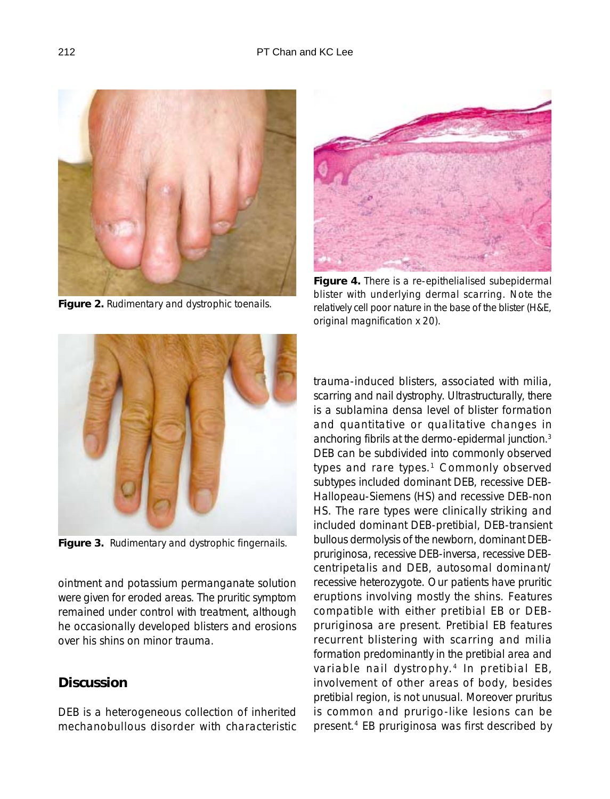

**Figure 2.** Rudimentary and dystrophic toenails.



**Figure 4.** There is a re-epithelialised subepidermal blister with underlying dermal scarring. Note the relatively cell poor nature in the base of the blister (H&E, original magnification x 20).



**Figure 3.** Rudimentary and dystrophic fingernails.

ointment and potassium permanganate solution were given for eroded areas. The pruritic symptom remained under control with treatment, although he occasionally developed blisters and erosions over his shins on minor trauma.

### **Discussion**

DEB is a heterogeneous collection of inherited mechanobullous disorder with characteristic

trauma-induced blisters, associated with milia, scarring and nail dystrophy. Ultrastructurally, there is a sublamina densa level of blister formation and quantitative or qualitative changes in anchoring fibrils at the dermo-epidermal junction.3 DEB can be subdivided into commonly observed types and rare types.<sup>1</sup> Commonly observed subtypes included dominant DEB, recessive DEB-Hallopeau-Siemens (HS) and recessive DEB-non HS. The rare types were clinically striking and included dominant DEB-pretibial, DEB-transient bullous dermolysis of the newborn, dominant DEBpruriginosa, recessive DEB-inversa, recessive DEBcentripetalis and DEB, autosomal dominant/ recessive heterozygote. Our patients have pruritic eruptions involving mostly the shins. Features compatible with either pretibial EB or DEBpruriginosa are present. Pretibial EB features recurrent blistering with scarring and milia formation predominantly in the pretibial area and variable nail dystrophy.<sup>4</sup> In pretibial EB, involvement of other areas of body, besides pretibial region, is not unusual. Moreover pruritus is common and prurigo-like lesions can be present.4 EB pruriginosa was first described by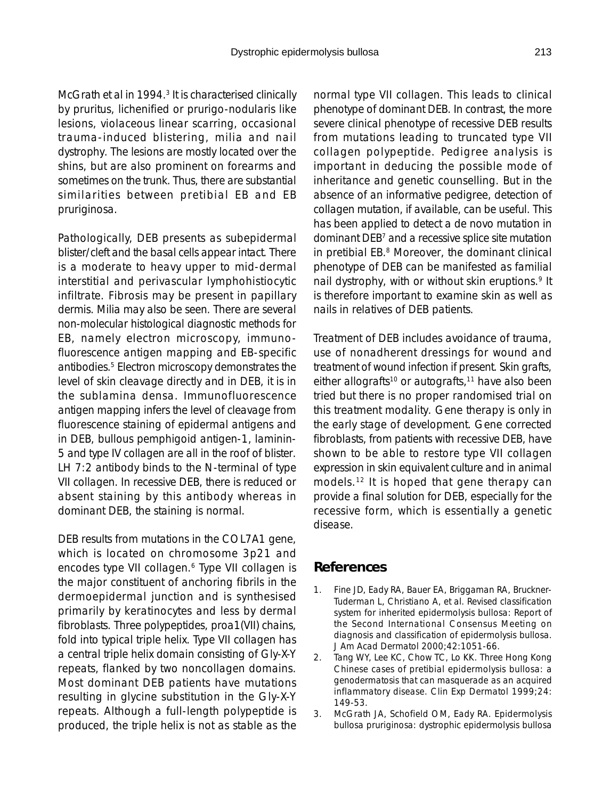McGrath et al in 1994.<sup>3</sup> It is characterised clinically by pruritus, lichenified or prurigo-nodularis like lesions, violaceous linear scarring, occasional trauma-induced blistering, milia and nail dystrophy. The lesions are mostly located over the shins, but are also prominent on forearms and sometimes on the trunk. Thus, there are substantial similarities between pretibial EB and EB pruriginosa.

Pathologically, DEB presents as subepidermal blister/cleft and the basal cells appear intact. There is a moderate to heavy upper to mid-dermal interstitial and perivascular lymphohistiocytic infiltrate. Fibrosis may be present in papillary dermis. Milia may also be seen. There are several non-molecular histological diagnostic methods for EB, namely electron microscopy, immunofluorescence antigen mapping and EB-specific antibodies.<sup>5</sup> Electron microscopy demonstrates the level of skin cleavage directly and in DEB, it is in the sublamina densa. Immunofluorescence antigen mapping infers the level of cleavage from fluorescence staining of epidermal antigens and in DEB, bullous pemphigoid antigen-1, laminin-5 and type IV collagen are all in the roof of blister. LH 7:2 antibody binds to the N-terminal of type VII collagen. In recessive DEB, there is reduced or absent staining by this antibody whereas in dominant DEB, the staining is normal.

DEB results from mutations in the COL7A1 gene, which is located on chromosome 3p21 and encodes type VII collagen.<sup>6</sup> Type VII collagen is the major constituent of anchoring fibrils in the dermoepidermal junction and is synthesised primarily by keratinocytes and less by dermal fibroblasts. Three polypeptides, proa1(VII) chains, fold into typical triple helix. Type VII collagen has a central triple helix domain consisting of Gly-X-Y repeats, flanked by two noncollagen domains. Most dominant DEB patients have mutations resulting in glycine substitution in the Gly-X-Y repeats. Although a full-length polypeptide is produced, the triple helix is not as stable as the normal type VII collagen. This leads to clinical phenotype of dominant DEB. In contrast, the more severe clinical phenotype of recessive DEB results from mutations leading to truncated type VII collagen polypeptide. Pedigree analysis is important in deducing the possible mode of inheritance and genetic counselling. But in the absence of an informative pedigree, detection of collagen mutation, if available, can be useful. This has been applied to detect a de novo mutation in dominant DEB7 and a recessive splice site mutation in pretibial EB.8 Moreover, the dominant clinical phenotype of DEB can be manifested as familial nail dystrophy, with or without skin eruptions.<sup>9</sup> It is therefore important to examine skin as well as nails in relatives of DEB patients.

Treatment of DEB includes avoidance of trauma, use of nonadherent dressings for wound and treatment of wound infection if present. Skin grafts, either allografts<sup>10</sup> or autografts,<sup>11</sup> have also been tried but there is no proper randomised trial on this treatment modality. Gene therapy is only in the early stage of development. Gene corrected fibroblasts, from patients with recessive DEB, have shown to be able to restore type VII collagen expression in skin equivalent culture and in animal models.<sup>12</sup> It is hoped that gene therapy can provide a final solution for DEB, especially for the recessive form, which is essentially a genetic disease.

### **References**

- 1. Fine JD, Eady RA, Bauer EA, Briggaman RA, Bruckner-Tuderman L, Christiano A, et al. Revised classification system for inherited epidermolysis bullosa: Report of the Second International Consensus Meeting on diagnosis and classification of epidermolysis bullosa. J Am Acad Dermatol 2000;42:1051-66.
- 2. Tang WY, Lee KC, Chow TC, Lo KK. Three Hong Kong Chinese cases of pretibial epidermolysis bullosa: a genodermatosis that can masquerade as an acquired inflammatory disease. Clin Exp Dermatol 1999;24: 149-53.
- 3. McGrath JA, Schofield OM, Eady RA. Epidermolysis bullosa pruriginosa: dystrophic epidermolysis bullosa